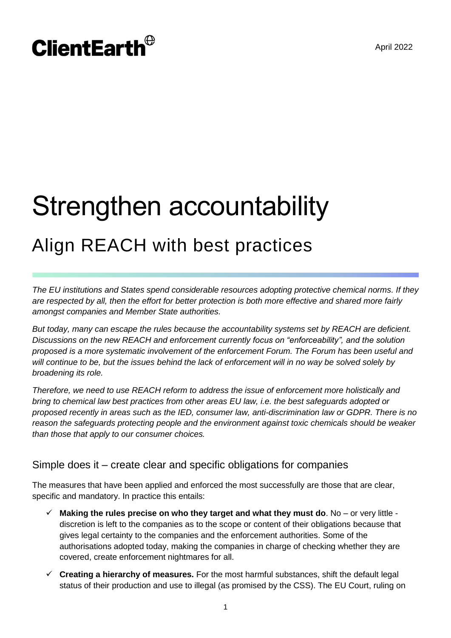# **ClientEarth**<sup>®</sup>

# Strengthen accountability Align REACH with best practices

*The EU institutions and States spend considerable resources adopting protective chemical norms. If they are respected by all, then the effort for better protection is both more effective and shared more fairly amongst companies and Member State authorities.* 

*But today, many can escape the rules because the accountability systems set by REACH are deficient. Discussions on the new REACH and enforcement currently focus on "enforceability", and the solution proposed is a more systematic involvement of the enforcement Forum. The Forum has been useful and will continue to be, but the issues behind the lack of enforcement will in no way be solved solely by broadening its role.*

*Therefore, we need to use REACH reform to address the issue of enforcement more holistically and bring to chemical law best practices from other areas EU law, i.e. the best safeguards adopted or proposed recently in areas such as the IED, consumer law, anti-discrimination law or GDPR. There is no reason the safeguards protecting people and the environment against toxic chemicals should be weaker than those that apply to our consumer choices.*

# Simple does it – create clear and specific obligations for companies

The measures that have been applied and enforced the most successfully are those that are clear, specific and mandatory. In practice this entails:

- **Making the rules precise on who they target and what they must do**. No or very little discretion is left to the companies as to the scope or content of their obligations because that gives legal certainty to the companies and the enforcement authorities. Some of the authorisations adopted today, making the companies in charge of checking whether they are covered, create enforcement nightmares for all.
- **Creating a hierarchy of measures.** For the most harmful substances, shift the default legal status of their production and use to illegal (as promised by the CSS). The EU Court, ruling on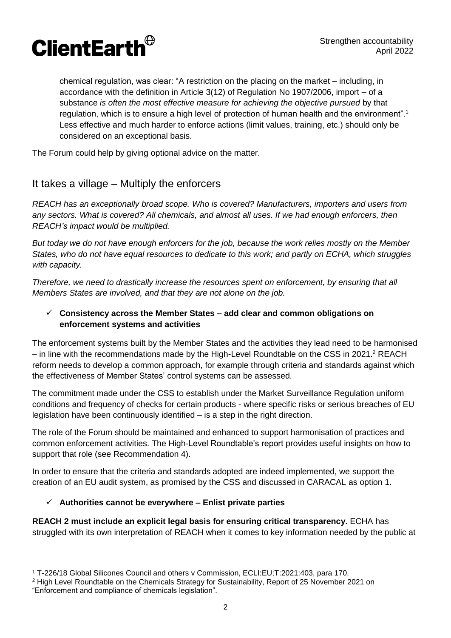

chemical regulation, was clear: "A restriction on the placing on the market – including, in accordance with the definition in Article 3(12) of Regulation No 1907/2006, import – of a substance *is often the most effective measure for achieving the objective pursued* by that regulation, which is to ensure a high level of protection of human health and the environment".<sup>1</sup> Less effective and much harder to enforce actions (limit values, training, etc.) should only be considered on an exceptional basis.

The Forum could help by giving optional advice on the matter.

### It takes a village – Multiply the enforcers

*REACH has an exceptionally broad scope. Who is covered? Manufacturers, importers and users from any sectors. What is covered? All chemicals, and almost all uses. If we had enough enforcers, then REACH's impact would be multiplied.* 

*But today we do not have enough enforcers for the job, because the work relies mostly on the Member States, who do not have equal resources to dedicate to this work; and partly on ECHA, which struggles with capacity.*

*Therefore, we need to drastically increase the resources spent on enforcement, by ensuring that all Members States are involved, and that they are not alone on the job.*

#### **Consistency across the Member States – add clear and common obligations on enforcement systems and activities**

The enforcement systems built by the Member States and the activities they lead need to be harmonised – in line with the recommendations made by the High-Level Roundtable on the CSS in 2021. <sup>2</sup> REACH reform needs to develop a common approach, for example through criteria and standards against which the effectiveness of Member States' control systems can be assessed.

The commitment made under the CSS to establish under the Market Surveillance Regulation uniform conditions and frequency of checks for certain products - where specific risks or serious breaches of EU legislation have been continuously identified – is a step in the right direction.

The role of the Forum should be maintained and enhanced to support harmonisation of practices and common enforcement activities. The High-Level Roundtable's report provides useful insights on how to support that role (see Recommendation 4).

In order to ensure that the criteria and standards adopted are indeed implemented, we support the creation of an EU audit system, as promised by the CSS and discussed in CARACAL as option 1.

#### **Authorities cannot be everywhere – Enlist private parties**

**REACH 2 must include an explicit legal basis for ensuring critical transparency.** ECHA has struggled with its own interpretation of REACH when it comes to key information needed by the public at

 $\overline{a}$ <sup>1</sup> T-226/18 Global Silicones Council and others v Commission, ECLI:EU;T:2021:403, para 170.

<sup>&</sup>lt;sup>2</sup> High Level Roundtable on the Chemicals Strategy for Sustainability, Report of 25 November 2021 on "Enforcement and compliance of chemicals legislation".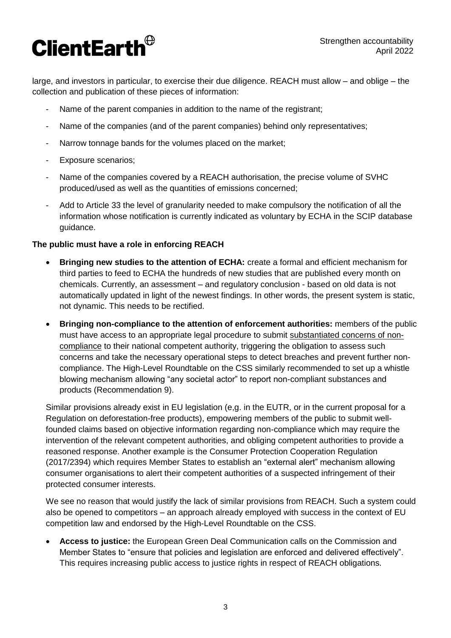# **ClientEarth**<sup>®</sup>

large, and investors in particular, to exercise their due diligence. REACH must allow – and oblige – the collection and publication of these pieces of information:

- Name of the parent companies in addition to the name of the registrant;
- Name of the companies (and of the parent companies) behind only representatives;
- Narrow tonnage bands for the volumes placed on the market;
- Exposure scenarios;
- Name of the companies covered by a REACH authorisation, the precise volume of SVHC produced/used as well as the quantities of emissions concerned;
- Add to Article 33 the level of granularity needed to make compulsory the notification of all the information whose notification is currently indicated as voluntary by ECHA in the SCIP database guidance.

#### **The public must have a role in enforcing REACH**

- **Bringing new studies to the attention of ECHA:** create a formal and efficient mechanism for third parties to feed to ECHA the hundreds of new studies that are published every month on chemicals. Currently, an assessment – and regulatory conclusion - based on old data is not automatically updated in light of the newest findings. In other words, the present system is static, not dynamic. This needs to be rectified.
- **Bringing non-compliance to the attention of enforcement authorities:** members of the public must have access to an appropriate legal procedure to submit substantiated concerns of noncompliance to their national competent authority, triggering the obligation to assess such concerns and take the necessary operational steps to detect breaches and prevent further noncompliance. The High-Level Roundtable on the CSS similarly recommended to set up a whistle blowing mechanism allowing "any societal actor" to report non-compliant substances and products (Recommendation 9).

Similar provisions already exist in EU legislation (e,g. in the EUTR, or in the current proposal for a Regulation on deforestation-free products), empowering members of the public to submit wellfounded claims based on objective information regarding non-compliance which may require the intervention of the relevant competent authorities, and obliging competent authorities to provide a reasoned response. Another example is the Consumer Protection Cooperation Regulation (2017/2394) which requires Member States to establish an "external alert" mechanism allowing consumer organisations to alert their competent authorities of a suspected infringement of their protected consumer interests.

We see no reason that would justify the lack of similar provisions from REACH. Such a system could also be opened to competitors – an approach already employed with success in the context of EU competition law and endorsed by the High-Level Roundtable on the CSS.

 **Access to justice:** the European Green Deal Communication calls on the Commission and Member States to "ensure that policies and legislation are enforced and delivered effectively". This requires increasing public access to justice rights in respect of REACH obligations.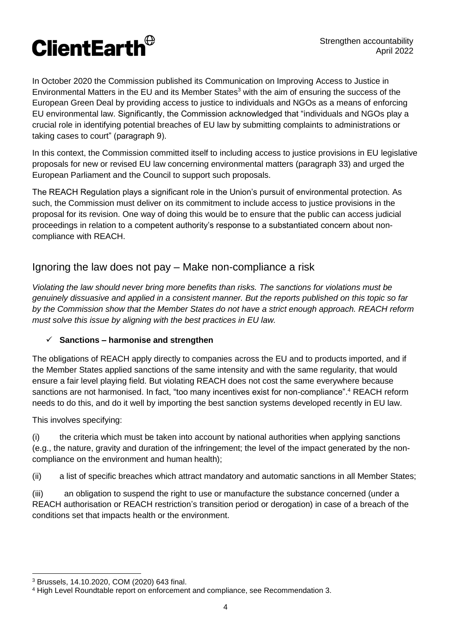

In October 2020 the Commission published its Communication on Improving Access to Justice in Environmental Matters in the EU and its Member States<sup>3</sup> with the aim of ensuring the success of the European Green Deal by providing access to justice to individuals and NGOs as a means of enforcing EU environmental law. Significantly, the Commission acknowledged that "individuals and NGOs play a crucial role in identifying potential breaches of EU law by submitting complaints to administrations or taking cases to court" (paragraph 9).

In this context, the Commission committed itself to including access to justice provisions in EU legislative proposals for new or revised EU law concerning environmental matters (paragraph 33) and urged the European Parliament and the Council to support such proposals.

The REACH Regulation plays a significant role in the Union's pursuit of environmental protection. As such, the Commission must deliver on its commitment to include access to justice provisions in the proposal for its revision. One way of doing this would be to ensure that the public can access judicial proceedings in relation to a competent authority's response to a substantiated concern about noncompliance with REACH.

## Ignoring the law does not pay – Make non-compliance a risk

*Violating the law should never bring more benefits than risks. The sanctions for violations must be genuinely dissuasive and applied in a consistent manner. But the reports published on this topic so far by the Commission show that the Member States do not have a strict enough approach. REACH reform must solve this issue by aligning with the best practices in EU law.*

#### **Sanctions – harmonise and strengthen**

The obligations of REACH apply directly to companies across the EU and to products imported, and if the Member States applied sanctions of the same intensity and with the same regularity, that would ensure a fair level playing field. But violating REACH does not cost the same everywhere because sanctions are not harmonised. In fact, "too many incentives exist for non-compliance".<sup>4</sup> REACH reform needs to do this, and do it well by importing the best sanction systems developed recently in EU law.

This involves specifying:

(i) the criteria which must be taken into account by national authorities when applying sanctions (e.g., the nature, gravity and duration of the infringement; the level of the impact generated by the noncompliance on the environment and human health);

(ii) a list of specific breaches which attract mandatory and automatic sanctions in all Member States;

(iii) an obligation to suspend the right to use or manufacture the substance concerned (under a REACH authorisation or REACH restriction's transition period or derogation) in case of a breach of the conditions set that impacts health or the environment.

<sup>3</sup> Brussels, 14.10.2020, COM (2020) 643 final.

<sup>4</sup> High Level Roundtable report on enforcement and compliance, see Recommendation 3.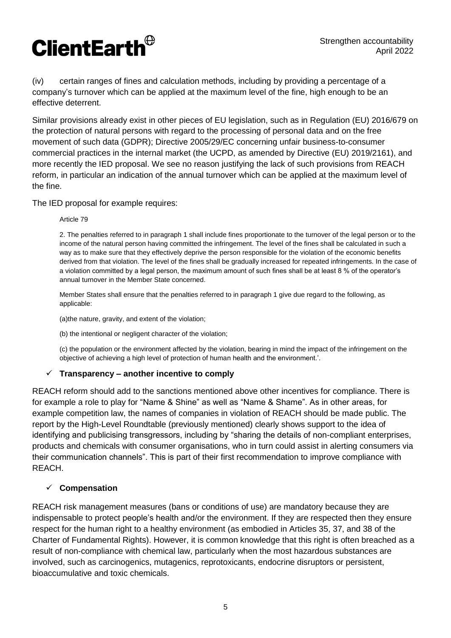

(iv) certain ranges of fines and calculation methods, including by providing a percentage of a company's turnover which can be applied at the maximum level of the fine, high enough to be an effective deterrent.

Similar provisions already exist in other pieces of EU legislation, such as in Regulation (EU) 2016/679 on the protection of natural persons with regard to the processing of personal data and on the free movement of such data (GDPR); Directive 2005/29/EC concerning unfair business-to-consumer commercial practices in the internal market (the UCPD, as amended by Directive (EU) 2019/2161), and more recently the IED proposal. We see no reason justifying the lack of such provisions from REACH reform, in particular an indication of the annual turnover which can be applied at the maximum level of the fine.

The IED proposal for example requires:

#### Article 79

2. The penalties referred to in paragraph 1 shall include fines proportionate to the turnover of the legal person or to the income of the natural person having committed the infringement. The level of the fines shall be calculated in such a way as to make sure that they effectively deprive the person responsible for the violation of the economic benefits derived from that violation. The level of the fines shall be gradually increased for repeated infringements. In the case of a violation committed by a legal person, the maximum amount of such fines shall be at least 8 % of the operator's annual turnover in the Member State concerned.

Member States shall ensure that the penalties referred to in paragraph 1 give due regard to the following, as applicable:

(a)the nature, gravity, and extent of the violation;

(b) the intentional or negligent character of the violation;

(c) the population or the environment affected by the violation, bearing in mind the impact of the infringement on the objective of achieving a high level of protection of human health and the environment.'.

#### **Transparency – another incentive to comply**

REACH reform should add to the sanctions mentioned above other incentives for compliance. There is for example a role to play for "Name & Shine" as well as "Name & Shame". As in other areas, for example competition law, the names of companies in violation of REACH should be made public. The report by the High-Level Roundtable (previously mentioned) clearly shows support to the idea of identifying and publicising transgressors, including by "sharing the details of non-compliant enterprises, products and chemicals with consumer organisations, who in turn could assist in alerting consumers via their communication channels". This is part of their first recommendation to improve compliance with REACH.

#### **Compensation**

REACH risk management measures (bans or conditions of use) are mandatory because they are indispensable to protect people's health and/or the environment. If they are respected then they ensure respect for the human right to a healthy environment (as embodied in Articles 35, 37, and 38 of the Charter of Fundamental Rights). However, it is common knowledge that this right is often breached as a result of non-compliance with chemical law, particularly when the most hazardous substances are involved, such as carcinogenics, mutagenics, reprotoxicants, endocrine disruptors or persistent, bioaccumulative and toxic chemicals.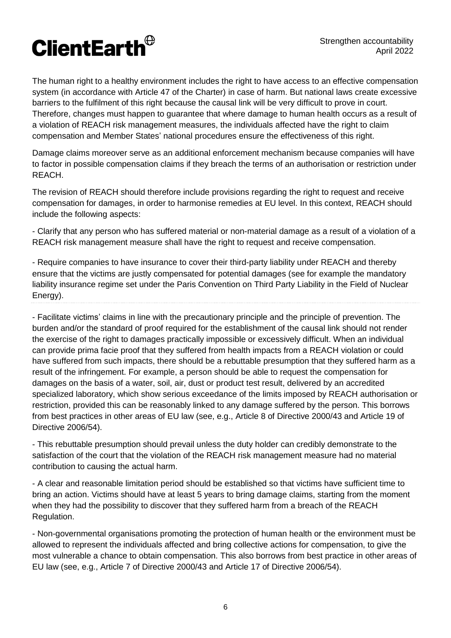The human right to a healthy environment includes the right to have access to an effective compensation system (in accordance with Article 47 of the Charter) in case of harm. But national laws create excessive barriers to the fulfilment of this right because the causal link will be very difficult to prove in court. Therefore, changes must happen to guarantee that where damage to human health occurs as a result of a violation of REACH risk management measures, the individuals affected have the right to claim compensation and Member States' national procedures ensure the effectiveness of this right.

Damage claims moreover serve as an additional enforcement mechanism because companies will have to factor in possible compensation claims if they breach the terms of an authorisation or restriction under REACH.

The revision of REACH should therefore include provisions regarding the right to request and receive compensation for damages, in order to harmonise remedies at EU level. In this context, REACH should include the following aspects:

- Clarify that any person who has suffered material or non-material damage as a result of a violation of a REACH risk management measure shall have the right to request and receive compensation.

- Require companies to have insurance to cover their third-party liability under REACH and thereby ensure that the victims are justly compensated for potential damages (see for example the mandatory liability insurance regime set under the Paris Convention on Third Party Liability in the Field of Nuclear Energy).

- Facilitate victims' claims in line with the precautionary principle and the principle of prevention. The burden and/or the standard of proof required for the establishment of the causal link should not render the exercise of the right to damages practically impossible or excessively difficult. When an individual can provide prima facie proof that they suffered from health impacts from a REACH violation or could have suffered from such impacts, there should be a rebuttable presumption that they suffered harm as a result of the infringement. For example, a person should be able to request the compensation for damages on the basis of a water, soil, air, dust or product test result, delivered by an accredited specialized laboratory, which show serious exceedance of the limits imposed by REACH authorisation or restriction, provided this can be reasonably linked to any damage suffered by the person. This borrows from best practices in other areas of EU law (see, e.g., Article 8 of Directive 2000/43 and Article 19 of Directive 2006/54).

- This rebuttable presumption should prevail unless the duty holder can credibly demonstrate to the satisfaction of the court that the violation of the REACH risk management measure had no material contribution to causing the actual harm.

- A clear and reasonable limitation period should be established so that victims have sufficient time to bring an action. Victims should have at least 5 years to bring damage claims, starting from the moment when they had the possibility to discover that they suffered harm from a breach of the REACH Regulation.

- Non-governmental organisations promoting the protection of human health or the environment must be allowed to represent the individuals affected and bring collective actions for compensation, to give the most vulnerable a chance to obtain compensation. This also borrows from best practice in other areas of EU law (see, e.g., Article 7 of Directive 2000/43 and Article 17 of Directive 2006/54).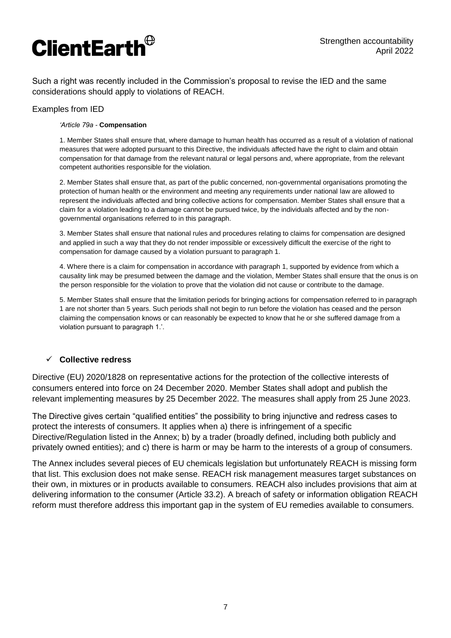

Such a right was recently included in the Commission's proposal to revise the IED and the same considerations should apply to violations of REACH.

#### Examples from IED

#### *'Article 79a -* **Compensation**

1. Member States shall ensure that, where damage to human health has occurred as a result of a violation of national measures that were adopted pursuant to this Directive, the individuals affected have the right to claim and obtain compensation for that damage from the relevant natural or legal persons and, where appropriate, from the relevant competent authorities responsible for the violation.

2. Member States shall ensure that, as part of the public concerned, non-governmental organisations promoting the protection of human health or the environment and meeting any requirements under national law are allowed to represent the individuals affected and bring collective actions for compensation. Member States shall ensure that a claim for a violation leading to a damage cannot be pursued twice, by the individuals affected and by the nongovernmental organisations referred to in this paragraph.

3. Member States shall ensure that national rules and procedures relating to claims for compensation are designed and applied in such a way that they do not render impossible or excessively difficult the exercise of the right to compensation for damage caused by a violation pursuant to paragraph 1.

4. Where there is a claim for compensation in accordance with paragraph 1, supported by evidence from which a causality link may be presumed between the damage and the violation, Member States shall ensure that the onus is on the person responsible for the violation to prove that the violation did not cause or contribute to the damage.

5. Member States shall ensure that the limitation periods for bringing actions for compensation referred to in paragraph 1 are not shorter than 5 years. Such periods shall not begin to run before the violation has ceased and the person claiming the compensation knows or can reasonably be expected to know that he or she suffered damage from a violation pursuant to paragraph 1.'.

#### **Collective redress**

Directive (EU) 2020/1828 on representative actions for the protection of the collective interests of consumers entered into force on 24 December 2020. Member States shall adopt and publish the relevant implementing measures by 25 December 2022. The measures shall apply from 25 June 2023.

The Directive gives certain "qualified entities" the possibility to bring injunctive and redress cases to protect the interests of consumers. It applies when a) there is infringement of a specific Directive/Regulation listed in the Annex; b) by a trader (broadly defined, including both publicly and privately owned entities); and c) there is harm or may be harm to the interests of a group of consumers.

The Annex includes several pieces of EU chemicals legislation but unfortunately REACH is missing form that list. This exclusion does not make sense. REACH risk management measures target substances on their own, in mixtures or in products available to consumers. REACH also includes provisions that aim at delivering information to the consumer (Article 33.2). A breach of safety or information obligation REACH reform must therefore address this important gap in the system of EU remedies available to consumers.